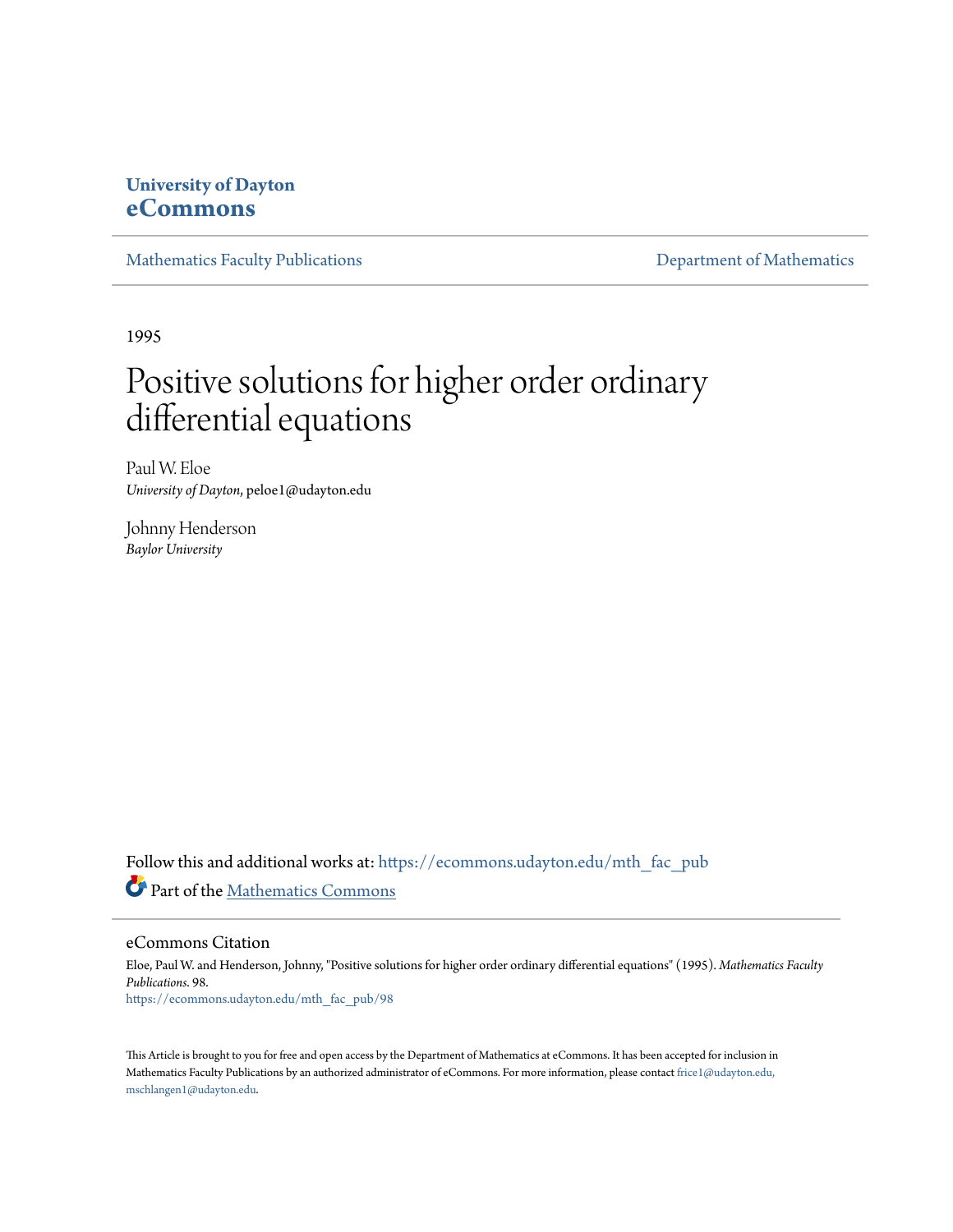## **University of Dayton [eCommons](https://ecommons.udayton.edu?utm_source=ecommons.udayton.edu%2Fmth_fac_pub%2F98&utm_medium=PDF&utm_campaign=PDFCoverPages)**

[Mathematics Faculty Publications](https://ecommons.udayton.edu/mth_fac_pub?utm_source=ecommons.udayton.edu%2Fmth_fac_pub%2F98&utm_medium=PDF&utm_campaign=PDFCoverPages) **[Department of Mathematics](https://ecommons.udayton.edu/mth?utm_source=ecommons.udayton.edu%2Fmth_fac_pub%2F98&utm_medium=PDF&utm_campaign=PDFCoverPages)** 

1995

# Positive solutions for higher order ordinary differential equations

Paul W. Eloe *University of Dayton*, peloe1@udayton.edu

Johnny Henderson *Baylor University*

Follow this and additional works at: [https://ecommons.udayton.edu/mth\\_fac\\_pub](https://ecommons.udayton.edu/mth_fac_pub?utm_source=ecommons.udayton.edu%2Fmth_fac_pub%2F98&utm_medium=PDF&utm_campaign=PDFCoverPages) Part of the [Mathematics Commons](http://network.bepress.com/hgg/discipline/174?utm_source=ecommons.udayton.edu%2Fmth_fac_pub%2F98&utm_medium=PDF&utm_campaign=PDFCoverPages)

eCommons Citation

Eloe, Paul W. and Henderson, Johnny, "Positive solutions for higher order ordinary differential equations" (1995). *Mathematics Faculty Publications*. 98. [https://ecommons.udayton.edu/mth\\_fac\\_pub/98](https://ecommons.udayton.edu/mth_fac_pub/98?utm_source=ecommons.udayton.edu%2Fmth_fac_pub%2F98&utm_medium=PDF&utm_campaign=PDFCoverPages)

This Article is brought to you for free and open access by the Department of Mathematics at eCommons. It has been accepted for inclusion in Mathematics Faculty Publications by an authorized administrator of eCommons. For more information, please contact [frice1@udayton.edu,](mailto:frice1@udayton.edu,%20mschlangen1@udayton.edu) [mschlangen1@udayton.edu.](mailto:frice1@udayton.edu,%20mschlangen1@udayton.edu)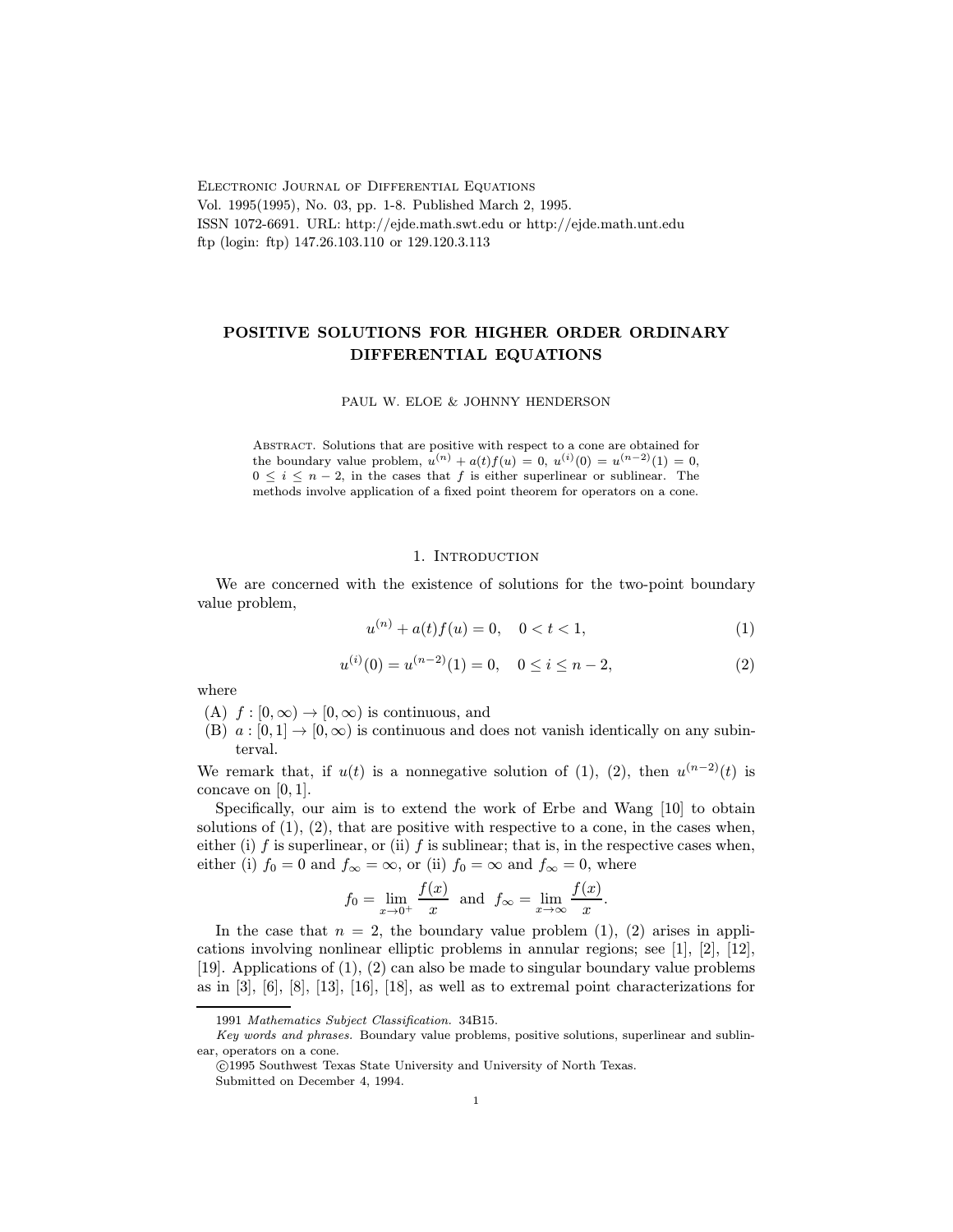Electronic Journal of Differential Equations Vol. 1995(1995), No. 03, pp. 1-8. Published March 2, 1995. ISSN 1072-6691. URL: http://ejde.math.swt.edu or http://ejde.math.unt.edu ftp (login: ftp) 147.26.103.110 or 129.120.3.113

### POSITIVE SOLUTIONS FOR HIGHER ORDER ORDINARY DIFFERENTIAL EQUATIONS

PAUL W. ELOE & JOHNNY HENDERSON

Abstract. Solutions that are positive with respect to a cone are obtained for the boundary value problem,  $u^{(n)} + a(t) f(u) = 0$ ,  $u^{(i)}(0) = u^{(n-2)}(1) = 0$ ,  $0 \leq i \leq n-2$ , in the cases that f is either superlinear or sublinear. The methods involve application of a fixed point theorem for operators on a cone.

#### 1. INTRODUCTION

We are concerned with the existence of solutions for the two-point boundary value problem,

$$
u^{(n)} + a(t)f(u) = 0, \quad 0 < t < 1,\tag{1}
$$

$$
u^{(i)}(0) = u^{(n-2)}(1) = 0, \quad 0 \le i \le n-2,
$$
\n(2)

where

- (A)  $f : [0, \infty) \to [0, \infty)$  is continuous, and
- (B)  $a : [0, 1] \rightarrow [0, \infty)$  is continuous and does not vanish identically on any subinterval.

We remark that, if  $u(t)$  is a nonnegative solution of (1), (2), then  $u^{(n-2)}(t)$  is concave on [0, 1].

Specifically, our aim is to extend the work of Erbe and Wang [10] to obtain solutions of  $(1)$ ,  $(2)$ , that are positive with respective to a cone, in the cases when, either (i)  $f$  is superlinear, or (ii)  $f$  is sublinear; that is, in the respective cases when, either (i)  $f_0 = 0$  and  $f_\infty = \infty$ , or (ii)  $f_0 = \infty$  and  $f_\infty = 0$ , where

$$
f_0 = \lim_{x \to 0^+} \frac{f(x)}{x}
$$
 and  $f_\infty = \lim_{x \to \infty} \frac{f(x)}{x}$ .

In the case that  $n = 2$ , the boundary value problem (1), (2) arises in applications involving nonlinear elliptic problems in annular regions; see [1], [2], [12], [19]. Applications of (1), (2) can also be made to singular boundary value problems as in  $[3]$ ,  $[6]$ ,  $[8]$ ,  $[13]$ ,  $[16]$ ,  $[18]$ , as well as to extremal point characterizations for

<sup>1991</sup> Mathematics Subject Classification. 34B15.

Key words and phrases. Boundary value problems, positive solutions, superlinear and sublinear, operators on a cone.

c 1995 Southwest Texas State University and University of North Texas. Submitted on December 4, 1994.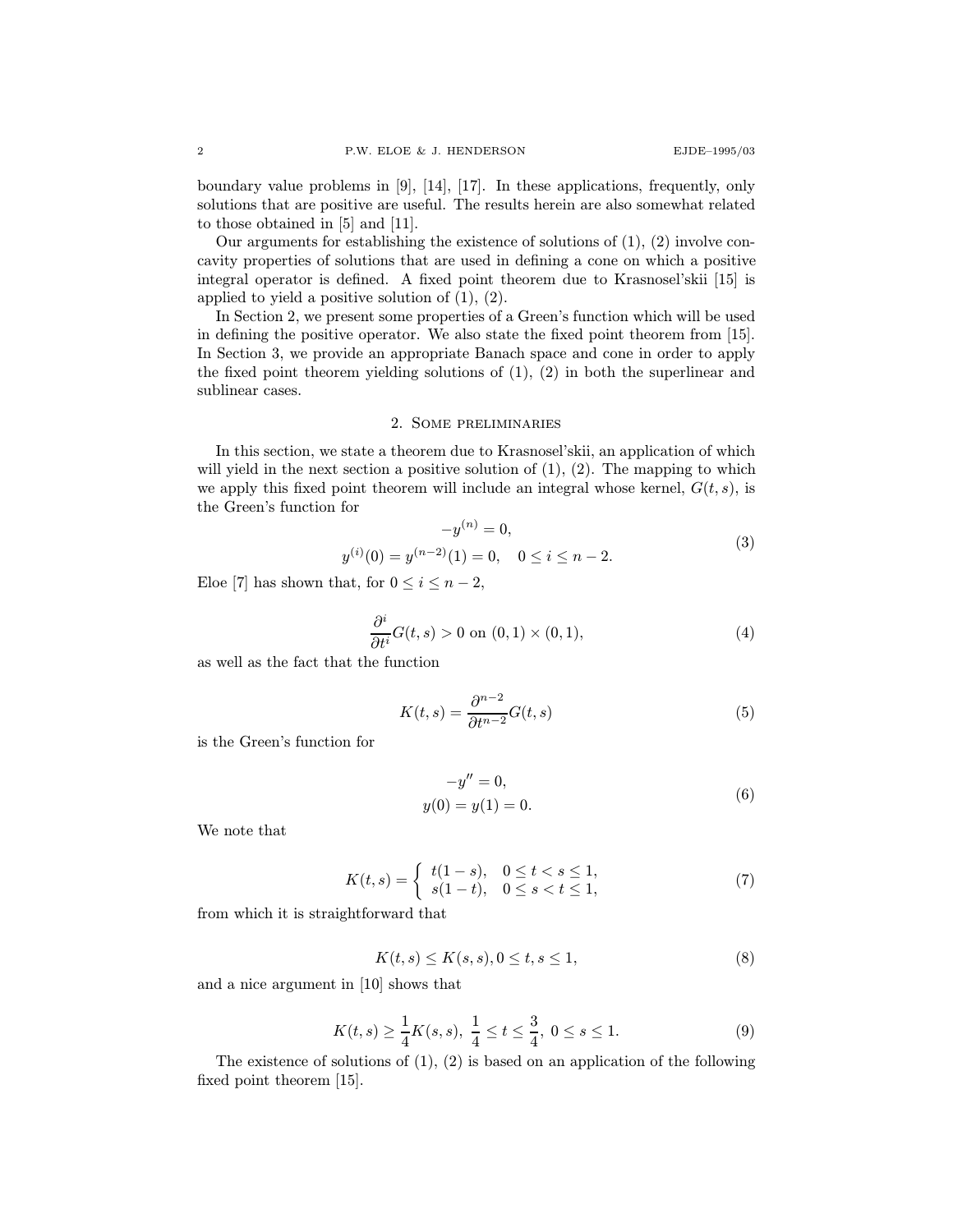boundary value problems in [9], [14], [17]. In these applications, frequently, only solutions that are positive are useful. The results herein are also somewhat related to those obtained in [5] and [11].

Our arguments for establishing the existence of solutions of  $(1)$ ,  $(2)$  involve concavity properties of solutions that are used in defining a cone on which a positive integral operator is defined. A fixed point theorem due to Krasnosel'skii [15] is applied to yield a positive solution of  $(1)$ ,  $(2)$ .

In Section 2, we present some properties of a Green's function which will be used in defining the positive operator. We also state the fixed point theorem from [15]. In Section 3, we provide an appropriate Banach space and cone in order to apply the fixed point theorem yielding solutions of (1), (2) in both the superlinear and sublinear cases.

#### 2. Some preliminaries

In this section, we state a theorem due to Krasnosel'skii, an application of which will yield in the next section a positive solution of  $(1)$ ,  $(2)$ . The mapping to which we apply this fixed point theorem will include an integral whose kernel,  $G(t, s)$ , is the Green's function for

$$
-y^{(n)} = 0,
$$
  
\n
$$
y^{(i)}(0) = y^{(n-2)}(1) = 0, \quad 0 \le i \le n-2.
$$
\n(3)

Eloe [7] has shown that, for  $0 \leq i \leq n-2$ ,

$$
\frac{\partial^i}{\partial t^i} G(t,s) > 0 \text{ on } (0,1) \times (0,1), \tag{4}
$$

as well as the fact that the function

$$
K(t,s) = \frac{\partial^{n-2}}{\partial t^{n-2}} G(t,s)
$$
\n(5)

is the Green's function for

$$
-y'' = 0,
$$
  
y(0) = y(1) = 0. (6)

We note that

$$
K(t,s) = \begin{cases} t(1-s), & 0 \le t < s \le 1, \\ s(1-t), & 0 \le s < t \le 1, \end{cases}
$$
 (7)

from which it is straightforward that

$$
K(t,s) \le K(s,s), 0 \le t, s \le 1,
$$
\n<sup>(8)</sup>

and a nice argument in [10] shows that

$$
K(t,s) \ge \frac{1}{4}K(s,s), \ \frac{1}{4} \le t \le \frac{3}{4}, \ 0 \le s \le 1. \tag{9}
$$

The existence of solutions of  $(1)$ ,  $(2)$  is based on an application of the following fixed point theorem [15].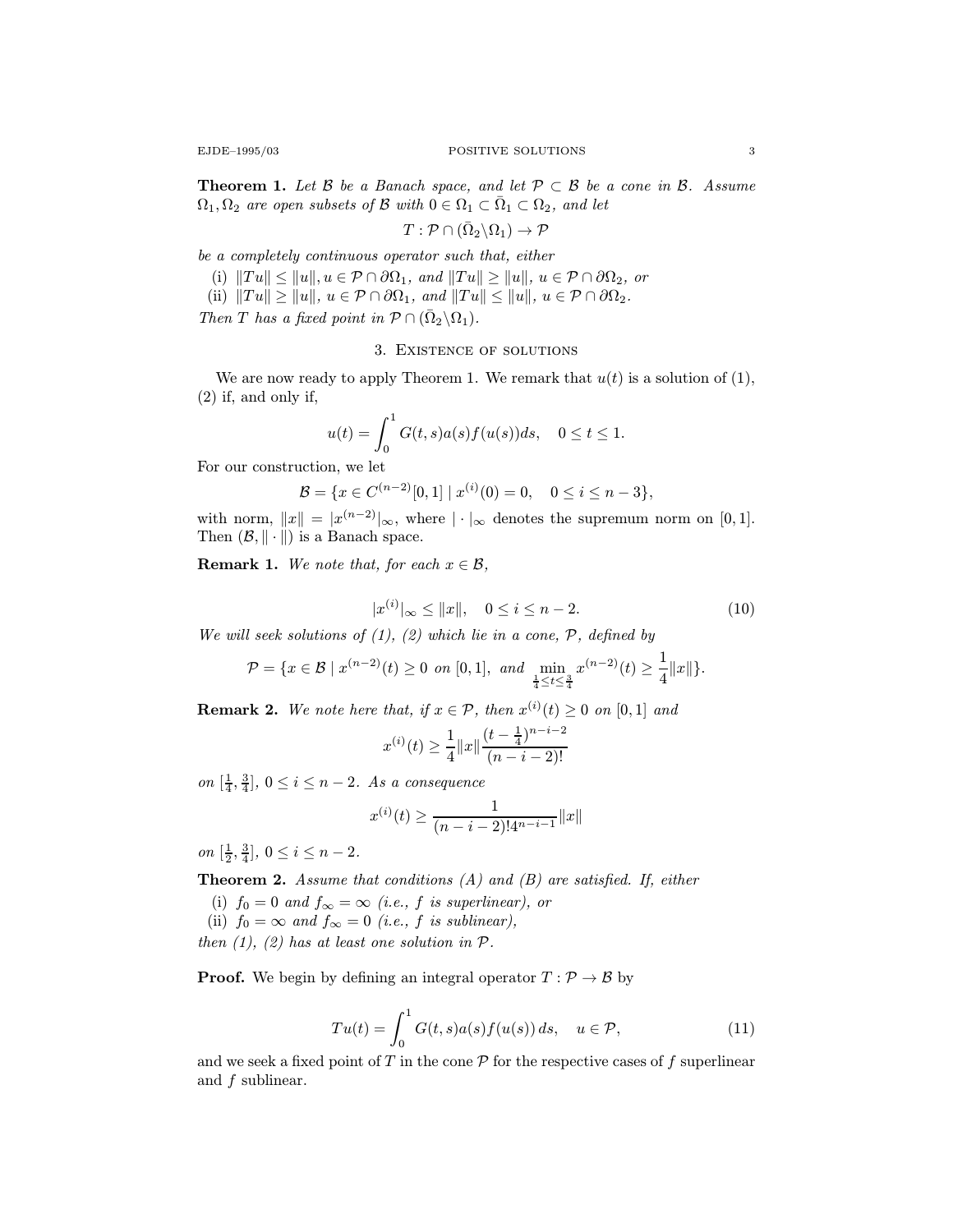**Theorem 1.** Let B be a Banach space, and let  $\mathcal{P} \subset \mathcal{B}$  be a cone in B. Assume  $\Omega_1, \Omega_2$  are open subsets of B with  $0 \in \Omega_1 \subset \overline{\Omega}_1 \subset \Omega_2$ , and let

$$
T: \mathcal{P} \cap (\bar{\Omega}_2 \backslash \Omega_1) \to \mathcal{P}
$$

be a completely continuous operator such that, either

(i)  $||Tu|| \leq ||u||, u \in \mathcal{P} \cap \partial \Omega_1$ , and  $||Tu|| \geq ||u||, u \in \mathcal{P} \cap \partial \Omega_2$ , or

(ii)  $||Tu|| \geq ||u||, u \in \mathcal{P} \cap \partial \Omega_1$ , and  $||Tu|| \leq ||u||, u \in \mathcal{P} \cap \partial \Omega_2$ .

Then T has a fixed point in  $\mathcal{P} \cap (\bar{\Omega}_2 \backslash \Omega_1)$ .

#### 3. Existence of solutions

We are now ready to apply Theorem 1. We remark that  $u(t)$  is a solution of (1), (2) if, and only if,

$$
u(t) = \int_0^1 G(t, s) a(s) f(u(s)) ds, \quad 0 \le t \le 1.
$$

For our construction, we let

$$
\mathcal{B} = \{x \in C^{(n-2)}[0,1] \mid x^{(i)}(0) = 0, \quad 0 \le i \le n-3\},\
$$

with norm,  $||x|| = |x^{(n-2)}|_{\infty}$ , where  $|\cdot|_{\infty}$  denotes the supremum norm on [0, 1]. Then  $(\mathcal{B}, \|\cdot\|)$  is a Banach space.

**Remark 1.** We note that, for each  $x \in \mathcal{B}$ ,

$$
|x^{(i)}|_{\infty} \le ||x||, \quad 0 \le i \le n-2. \tag{10}
$$

We will seek solutions of  $(1)$ ,  $(2)$  which lie in a cone,  $P$ , defined by

$$
\mathcal{P} = \{x \in \mathcal{B} \mid x^{(n-2)}(t) \ge 0 \text{ on } [0,1], \text{ and } \min_{\frac{1}{4} \le t \le \frac{3}{4}} x^{(n-2)}(t) \ge \frac{1}{4} ||x||\}.
$$

**Remark 2.** We note here that, if  $x \in \mathcal{P}$ , then  $x^{(i)}(t) \geq 0$  on [0,1] and

$$
x^{(i)}(t) \ge \frac{1}{4} ||x|| \frac{(t - \frac{1}{4})^{n-i-2}}{(n-i-2)!}
$$

on  $\left[\frac{1}{4}, \frac{3}{4}\right]$ ,  $0 \leq i \leq n-2$ . As a consequence

$$
x^{(i)}(t) \ge \frac{1}{(n-i-2)! 4^{n-i-1}} ||x||
$$

on  $[\frac{1}{2}, \frac{3}{4}], 0 \le i \le n-2.$ 

**Theorem 2.** Assume that conditions  $(A)$  and  $(B)$  are satisfied. If, either

- (i)  $f_0 = 0$  and  $f_\infty = \infty$  (i.e., f is superlinear), or
- (ii)  $f_0 = \infty$  and  $f_\infty = 0$  (i.e., f is sublinear),

then  $(1)$ ,  $(2)$  has at least one solution in  $P$ .

**Proof.** We begin by defining an integral operator  $T : \mathcal{P} \to \mathcal{B}$  by

$$
Tu(t) = \int_0^1 G(t,s)a(s)f(u(s))ds, \quad u \in \mathcal{P}, \tag{11}
$$

and we seek a fixed point of  $T$  in the cone  $\mathcal P$  for the respective cases of  $f$  superlinear and f sublinear.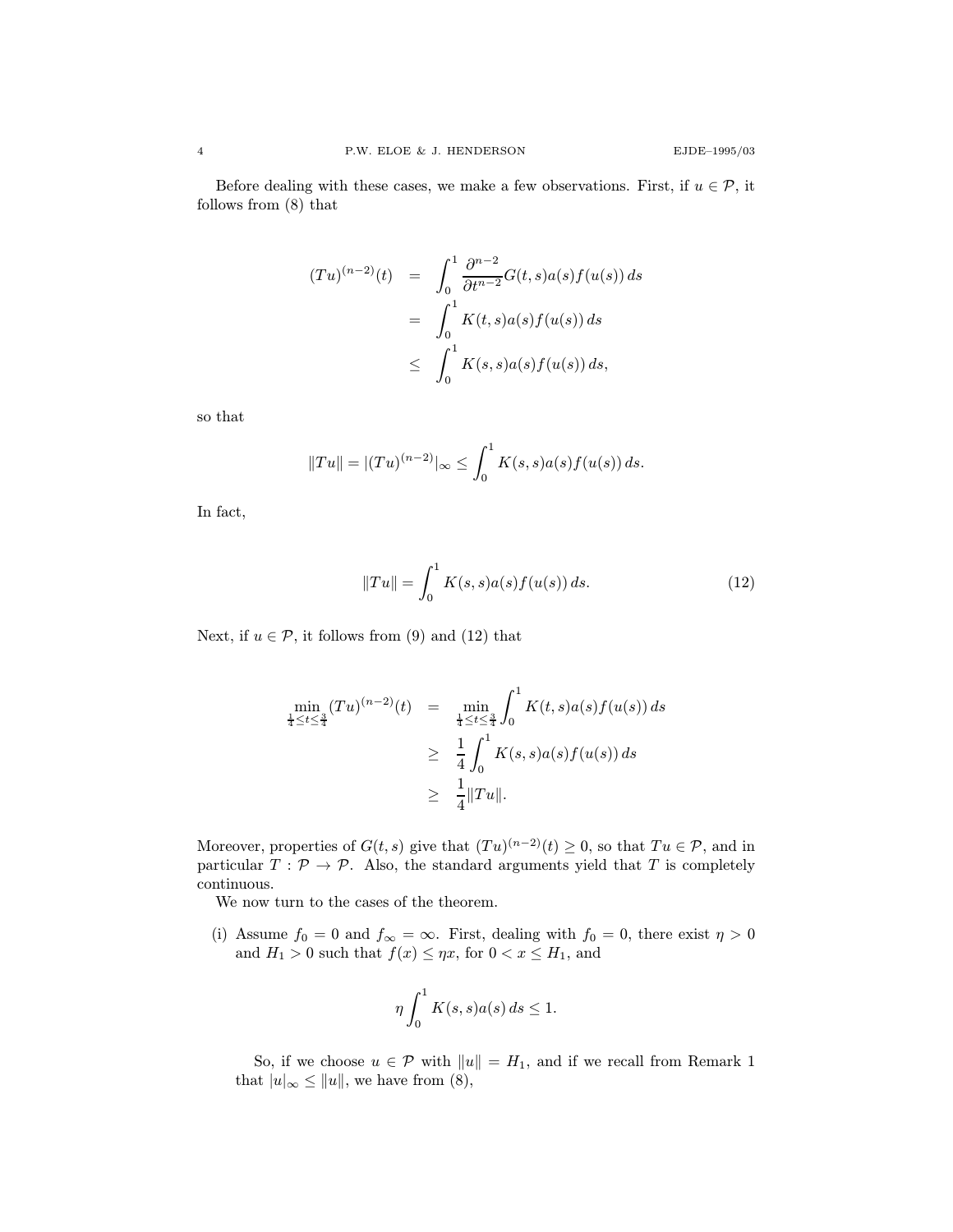Before dealing with these cases, we make a few observations. First, if  $u \in \mathcal{P}$ , it follows from (8) that

$$
(Tu)^{(n-2)}(t) = \int_0^1 \frac{\partial^{n-2}}{\partial t^{n-2}} G(t,s)a(s)f(u(s)) ds
$$
  

$$
= \int_0^1 K(t,s)a(s)f(u(s)) ds
$$
  

$$
\leq \int_0^1 K(s,s)a(s)f(u(s)) ds,
$$

so that

$$
||Tu|| = |(Tu)^{(n-2)}|_{\infty} \le \int_0^1 K(s,s)a(s)f(u(s)) ds.
$$

In fact,

$$
||Tu|| = \int_0^1 K(s,s)a(s)f(u(s)) ds.
$$
 (12)

Next, if  $u \in \mathcal{P}$ , it follows from (9) and (12) that

$$
\min_{\frac{1}{4} \le t \le \frac{3}{4}} (Tu)^{(n-2)}(t) = \min_{\frac{1}{4} \le t \le \frac{3}{4}} \int_0^1 K(t,s)a(s)f(u(s)) ds
$$
  
\n
$$
\ge \frac{1}{4} \int_0^1 K(s,s)a(s)f(u(s)) ds
$$
  
\n
$$
\ge \frac{1}{4} ||Tu||.
$$

Moreover, properties of  $G(t, s)$  give that  $(T u)^{(n-2)}(t) \geq 0$ , so that  $Tu \in \mathcal{P}$ , and in particular  $T : \mathcal{P} \to \mathcal{P}$ . Also, the standard arguments yield that T is completely continuous.

We now turn to the cases of the theorem.

(i) Assume  $f_0 = 0$  and  $f_{\infty} = \infty$ . First, dealing with  $f_0 = 0$ , there exist  $\eta > 0$ and  $H_1 > 0$  such that  $f(x) \leq \eta x$ , for  $0 < x \leq H_1$ , and

$$
\eta \int_0^1 K(s,s)a(s) ds \le 1.
$$

So, if we choose  $u \in \mathcal{P}$  with  $||u|| = H_1$ , and if we recall from Remark 1 that  $|u|_{\infty} \le ||u||$ , we have from (8),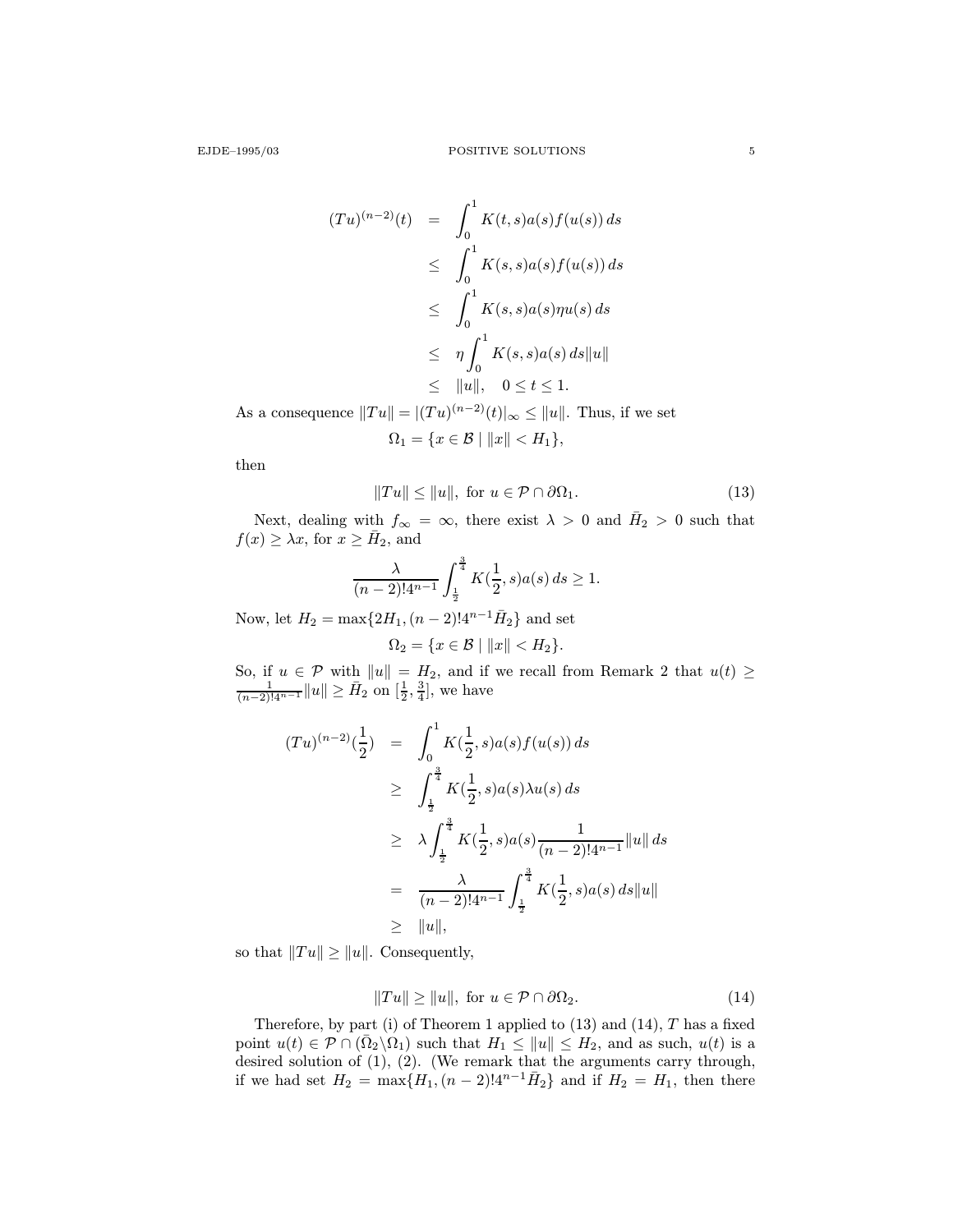$$
(Tu)^{(n-2)}(t) = \int_0^1 K(t,s)a(s)f(u(s)) ds
$$
  
\n
$$
\leq \int_0^1 K(s,s)a(s)f(u(s)) ds
$$
  
\n
$$
\leq \int_0^1 K(s,s)a(s)\eta u(s) ds
$$
  
\n
$$
\leq \eta \int_0^1 K(s,s)a(s) ds ||u||
$$
  
\n
$$
\leq ||u||, \quad 0 \leq t \leq 1.
$$

As a consequence  $||Tu|| = |(Tu)^{(n-2)}(t)|_{\infty} \le ||u||$ . Thus, if we set  $\Omega_1 = \{x \in \mathcal{B} \mid ||x|| < H_1\},\$ 

then

$$
||Tu|| \le ||u||, \text{ for } u \in \mathcal{P} \cap \partial \Omega_1. \tag{13}
$$

Next, dealing with  $f_{\infty} = \infty$ , there exist  $\lambda > 0$  and  $\bar{H}_2 > 0$  such that  $f(x) \geq \lambda x$ , for  $x \geq \overline{H}_2$ , and

$$
\frac{\lambda}{(n-2)!4^{n-1}} \int_{\frac{1}{2}}^{\frac{3}{4}} K(\frac{1}{2},s)a(s) ds \ge 1.
$$

Now, let  $H_2 = \max\{2H_1,(n-2)!4^{n-1}\bar{H}_2\}$  and set

$$
\Omega_2 = \{x \in \mathcal{B} \mid ||x|| < H_2\}.
$$

So, if  $u \in \mathcal{P}$  with  $||u|| = H_2$ , and if we recall from Remark 2 that  $u(t) \ge \frac{1}{(n-2)!4^{n-1}} ||u|| \ge \overline{H}_2$  on  $\left[\frac{1}{2}, \frac{3}{4}\right]$ , we have

$$
(Tu)^{(n-2)}(\frac{1}{2}) = \int_0^1 K(\frac{1}{2}, s)a(s)f(u(s)) ds
$$
  
\n
$$
\geq \int_{\frac{1}{2}}^{\frac{3}{4}} K(\frac{1}{2}, s)a(s)\lambda u(s) ds
$$
  
\n
$$
\geq \lambda \int_{\frac{1}{2}}^{\frac{3}{4}} K(\frac{1}{2}, s)a(s) \frac{1}{(n-2)!4^{n-1}} ||u|| ds
$$
  
\n
$$
= \frac{\lambda}{(n-2)!4^{n-1}} \int_{\frac{1}{2}}^{\frac{3}{4}} K(\frac{1}{2}, s)a(s) ds ||u||
$$
  
\n
$$
\geq ||u||,
$$

so that  $||Tu|| \geq ||u||$ . Consequently,

$$
||Tu|| \ge ||u||, \text{ for } u \in \mathcal{P} \cap \partial \Omega_2. \tag{14}
$$

Therefore, by part (i) of Theorem 1 applied to  $(13)$  and  $(14)$ , T has a fixed point  $u(t) \in \mathcal{P} \cap (\bar{\Omega}_2 \backslash \Omega_1)$  such that  $H_1 \leq ||u|| \leq H_2$ , and as such,  $u(t)$  is a desired solution of (1), (2). (We remark that the arguments carry through, if we had set  $H_2 = \max\{H_1,(n-2)!4^{n-1}\bar{H}_2\}$  and if  $H_2 = H_1$ , then there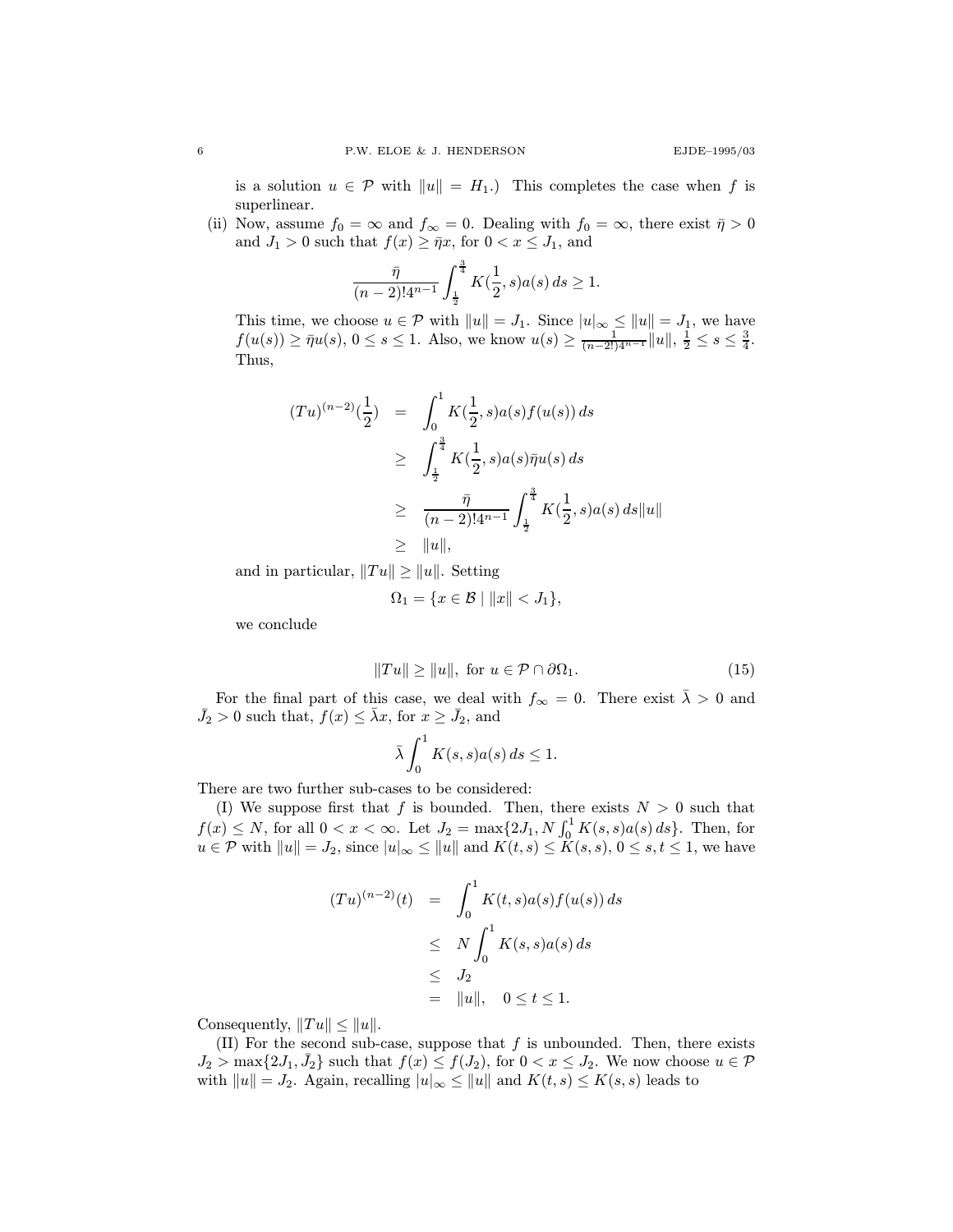is a solution  $u \in \mathcal{P}$  with  $||u|| = H_1$ .) This completes the case when f is superlinear.

(ii) Now, assume  $f_0 = \infty$  and  $f_\infty = 0$ . Dealing with  $f_0 = \infty$ , there exist  $\bar{\eta} > 0$ and  $J_1 > 0$  such that  $f(x) \geq \bar{\eta}x$ , for  $0 < x \leq J_1$ , and

$$
\frac{\bar{\eta}}{(n-2)!4^{n-1}}\int_{\frac{1}{2}}^{\frac{3}{4}}K(\frac{1}{2},s)a(s)\,ds\geq 1.
$$

This time, we choose  $u \in \mathcal{P}$  with  $||u|| = J_1$ . Since  $|u|_{\infty} \le ||u|| = J_1$ , we have  $f(u(s)) \geq \bar{\eta}u(s), 0 \leq s \leq 1$ . Also, we know  $u(s) \geq \frac{1}{(n-2!)4^{n-1}}||u||, \frac{1}{2} \leq s \leq \frac{3}{4}$ . Thus,

$$
(Tu)^{(n-2)}(\frac{1}{2}) = \int_0^1 K(\frac{1}{2}, s)a(s)f(u(s)) ds
$$
  
\n
$$
\geq \int_{\frac{1}{2}}^{\frac{3}{4}} K(\frac{1}{2}, s)a(s)\bar{\eta}u(s) ds
$$
  
\n
$$
\geq \frac{\bar{\eta}}{(n-2)!4^{n-1}} \int_{\frac{1}{2}}^{\frac{3}{4}} K(\frac{1}{2}, s)a(s) ds ||u||
$$
  
\n
$$
\geq ||u||,
$$

and in particular,  $||Tu|| \geq ||u||$ . Setting.

$$
\Omega_1 = \{ x \in \mathcal{B} \mid ||x|| < J_1 \},
$$

we conclude

$$
||Tu|| \ge ||u||, \text{ for } u \in \mathcal{P} \cap \partial \Omega_1. \tag{15}
$$

For the final part of this case, we deal with  $f_{\infty} = 0$ . There exist  $\bar{\lambda} > 0$  and  $\bar{J}_2 > 0$  such that,  $f(x) \leq \bar{\lambda}x$ , for  $x \geq \bar{J}_2$ , and

$$
\bar{\lambda} \int_0^1 K(s, s) a(s) \, ds \le 1.
$$

There are two further sub-cases to be considered:

(I) We suppose first that  $f$  is bounded. Then, there exists  $N > 0$  such that  $f(x) \le N$ , for all  $0 < x < \infty$ . Let  $J_2 = \max\{2J_1, N \int_0^1 K(s, s)a(s) ds\}$ . Then, for  $u \in \mathcal{P}$  with  $||u|| = J_2$ , since  $|u|_{\infty} \le ||u||$  and  $K(t, s) \le K(s, s)$ ,  $0 \le s, t \le 1$ , we have

$$
(Tu)^{(n-2)}(t) = \int_0^1 K(t,s)a(s)f(u(s))ds
$$
  
\n
$$
\leq N \int_0^1 K(s,s)a(s)ds
$$
  
\n
$$
\leq J_2
$$
  
\n
$$
= ||u||, \quad 0 \leq t \leq 1.
$$

Consequently,  $||Tu|| \leq ||u||$ .

(II) For the second sub-case, suppose that  $f$  is unbounded. Then, there exists  $J_2 > \max\{2J_1, \bar{J}_2\}$  such that  $f(x) \leq f(J_2)$ , for  $0 < x \leq J_2$ . We now choose  $u \in \mathcal{P}$ with  $||u|| = J_2$ . Again, recalling  $|u|_{\infty} \le ||u||$  and  $K(t, s) \le K(s, s)$  leads to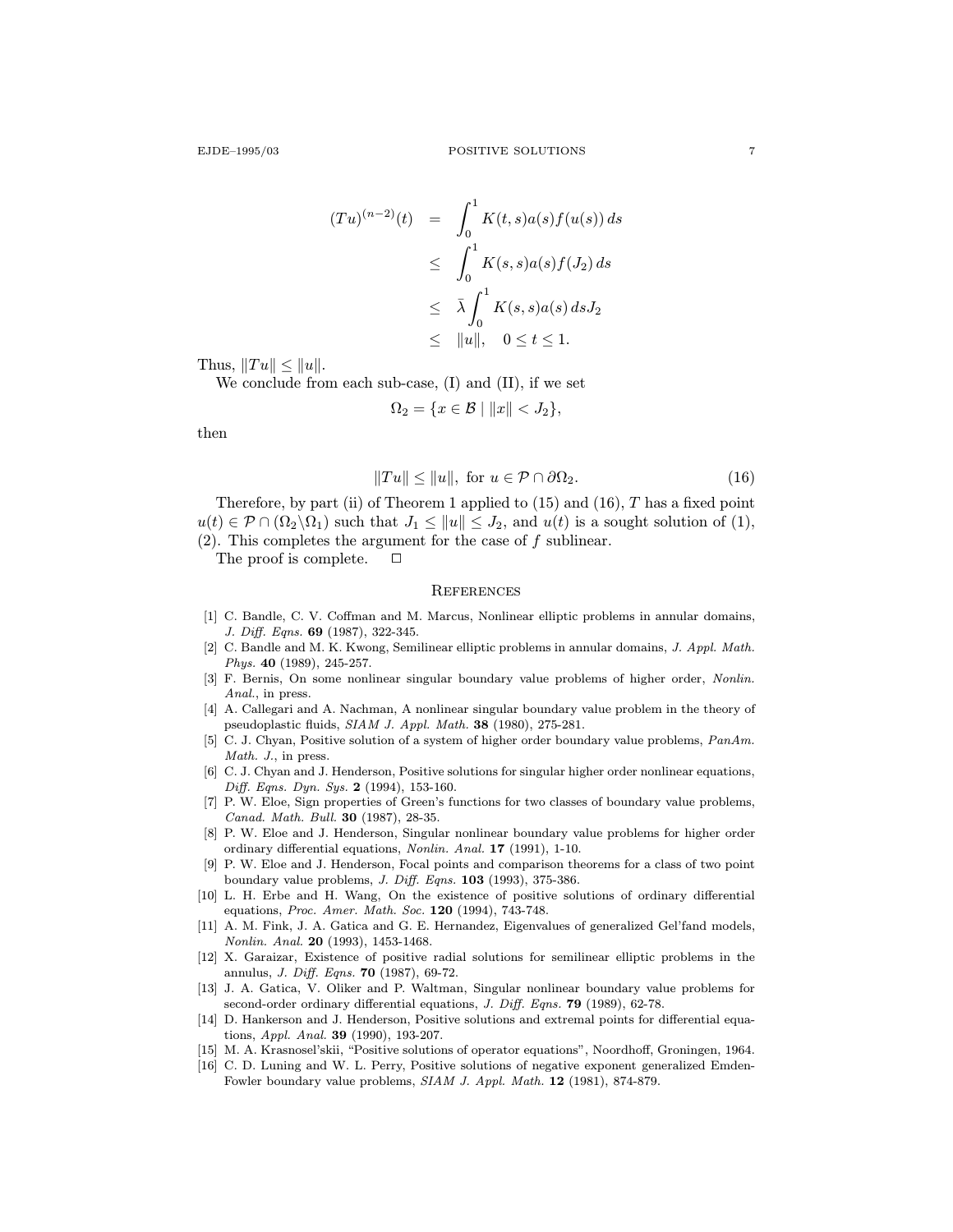$$
(Tu)^{(n-2)}(t) = \int_0^1 K(t,s)a(s)f(u(s)) ds
$$
  
\n
$$
\leq \int_0^1 K(s,s)a(s)f(J_2) ds
$$
  
\n
$$
\leq \bar{\lambda} \int_0^1 K(s,s)a(s) ds J_2
$$
  
\n
$$
\leq ||u||, \quad 0 \leq t \leq 1.
$$

Thus,  $||Tu|| \leq ||u||$ .

We conclude from each sub-case, (I) and (II), if we set

$$
\Omega_2 = \{ x \in \mathcal{B} \mid ||x|| < J_2 \},
$$

then

$$
||Tu|| \le ||u||, \text{ for } u \in \mathcal{P} \cap \partial \Omega_2. \tag{16}
$$

Therefore, by part (ii) of Theorem 1 applied to  $(15)$  and  $(16)$ , T has a fixed point  $u(t) \in \mathcal{P} \cap (\Omega_2 \backslash \Omega_1)$  such that  $J_1 \le ||u|| \le J_2$ , and  $u(t)$  is a sought solution of (1),  $(2)$ . This completes the argument for the case of f sublinear.

The proof is complete.  $\Box$ 

#### **REFERENCES**

- [1] C. Bandle, C. V. Coffman and M. Marcus, Nonlinear elliptic problems in annular domains, J. Diff. Eqns. 69 (1987), 322-345.
- [2] C. Bandle and M. K. Kwong, Semilinear elliptic problems in annular domains, J. Appl. Math. Phys. 40 (1989), 245-257.
- [3] F. Bernis, On some nonlinear singular boundary value problems of higher order, Nonlin. Anal., in press.
- [4] A. Callegari and A. Nachman, A nonlinear singular boundary value problem in the theory of pseudoplastic fluids, SIAM J. Appl. Math. 38 (1980), 275-281.
- [5] C. J. Chyan, Positive solution of a system of higher order boundary value problems,  $PanAm$ . Math. J., in press.
- [6] C. J. Chyan and J. Henderson, Positive solutions for singular higher order nonlinear equations, Diff. Eqns. Dyn. Sys. 2 (1994), 153-160.
- [7] P. W. Eloe, Sign properties of Green's functions for two classes of boundary value problems, Canad. Math. Bull. 30 (1987), 28-35.
- [8] P. W. Eloe and J. Henderson, Singular nonlinear boundary value problems for higher order ordinary differential equations, Nonlin. Anal. 17 (1991), 1-10.
- [9] P. W. Eloe and J. Henderson, Focal points and comparison theorems for a class of two point boundary value problems,  $J.$   $Diff.$   $Eqns.$   $103$  (1993), 375-386.
- [10] L. H. Erbe and H. Wang, On the existence of positive solutions of ordinary differential equations, Proc. Amer. Math. Soc. 120 (1994), 743-748.
- [11] A. M. Fink, J. A. Gatica and G. E. Hernandez, Eigenvalues of generalized Gel'fand models, Nonlin. Anal. 20 (1993), 1453-1468.
- [12] X. Garaizar, Existence of positive radial solutions for semilinear elliptic problems in the annulus, J. Diff. Eqns. 70 (1987), 69-72.
- [13] J. A. Gatica, V. Oliker and P. Waltman, Singular nonlinear boundary value problems for second-order ordinary differential equations, J. Diff. Eqns. 79 (1989), 62-78.
- [14] D. Hankerson and J. Henderson, Positive solutions and extremal points for differential equations, Appl. Anal. 39 (1990), 193-207.
- [15] M. A. Krasnosel'skii, "Positive solutions of operator equations", Noordhoff, Groningen, 1964.
- [16] C. D. Luning and W. L. Perry, Positive solutions of negative exponent generalized Emden-Fowler boundary value problems, SIAM J. Appl. Math. 12 (1981), 874-879.